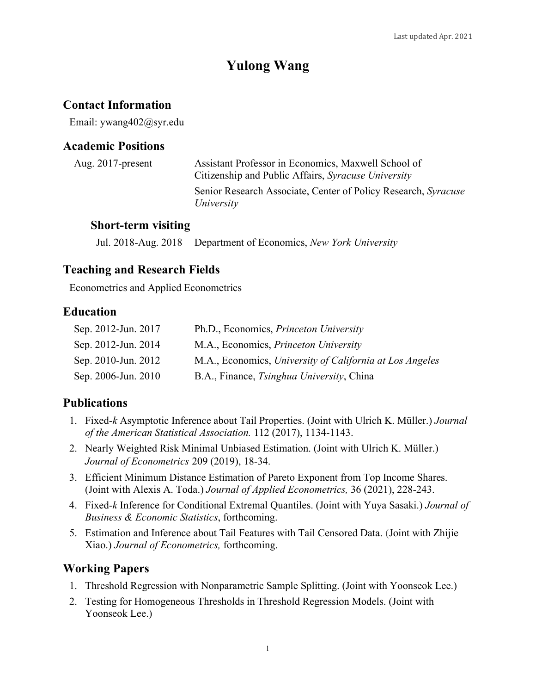# **Yulong Wang**

# **Contact Information**

Email: ywang402@syr.edu

## **Academic Positions**

| Aug. $2017$ -present | Assistant Professor in Economics, Maxwell School of<br>Citizenship and Public Affairs, Syracuse University |
|----------------------|------------------------------------------------------------------------------------------------------------|
|                      | Senior Research Associate, Center of Policy Research, Syracuse<br>University                               |

#### **Short-term visiting**

Jul. 2018-Aug. 2018 Department of Economics, *New York University*

## **Teaching and Research Fields**

Econometrics and Applied Econometrics

## **Education**

| Sep. 2012-Jun. 2017 | Ph.D., Economics, <i>Princeton University</i>            |
|---------------------|----------------------------------------------------------|
| Sep. 2012-Jun. 2014 | M.A., Economics, Princeton University                    |
| Sep. 2010-Jun. 2012 | M.A., Economics, University of California at Los Angeles |
| Sep. 2006-Jun. 2010 | B.A., Finance, Tsinghua University, China                |

## **Publications**

- 1. Fixed-*k* Asymptotic Inference about Tail Properties. (Joint with Ulrich K. Müller.) *Journal of the American Statistical Association.* 112 (2017), 1134-1143.
- 2. Nearly Weighted Risk Minimal Unbiased Estimation. (Joint with Ulrich K. Müller.) *Journal of Econometrics* 209 (2019), 18-34.
- 3. Efficient Minimum Distance Estimation of Pareto Exponent from Top Income Shares. (Joint with Alexis A. Toda.) *Journal of Applied Econometrics,* 36 (2021), 228-243.
- 4. Fixed-*k* Inference for Conditional Extremal Quantiles. (Joint with Yuya Sasaki.) *Journal of Business & Economic Statistics*, forthcoming.
- 5. Estimation and Inference about Tail Features with Tail Censored Data. (Joint with Zhijie Xiao.) *Journal of Econometrics,* forthcoming.

# **Working Papers**

- 1. Threshold Regression with Nonparametric Sample Splitting. (Joint with Yoonseok Lee.)
- 2. Testing for Homogeneous Thresholds in Threshold Regression Models. (Joint with Yoonseok Lee.)